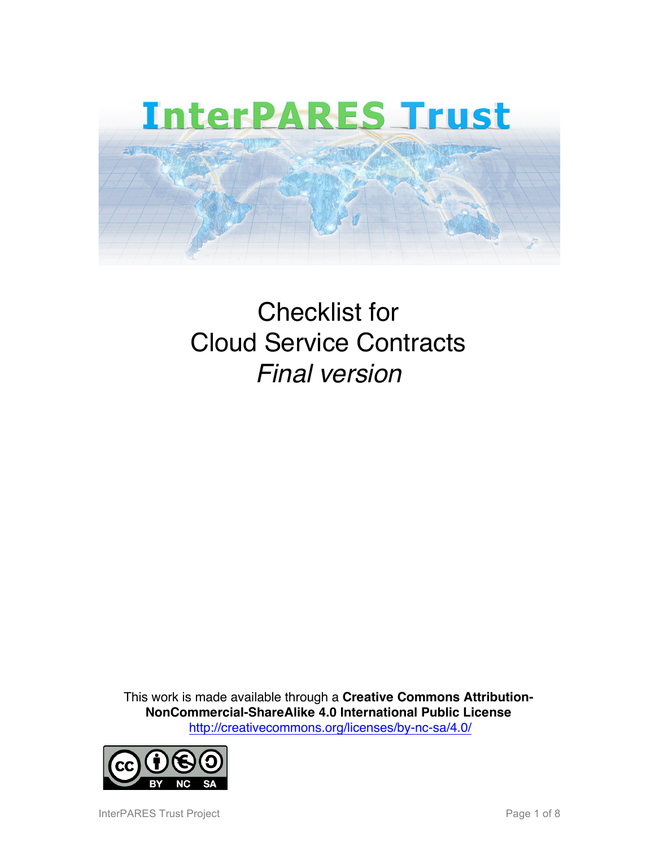

## Checklist for Cloud Service Contracts *Final version*

This work is made available through a **Creative Commons Attribution-NonCommercial-ShareAlike 4.0 International Public License** http://creativecommons.org/licenses/by-nc-sa/4.0/



InterPARES Trust Project **Page 1 of 8** and 2011 11 and 2012 12:30 Page 1 of 8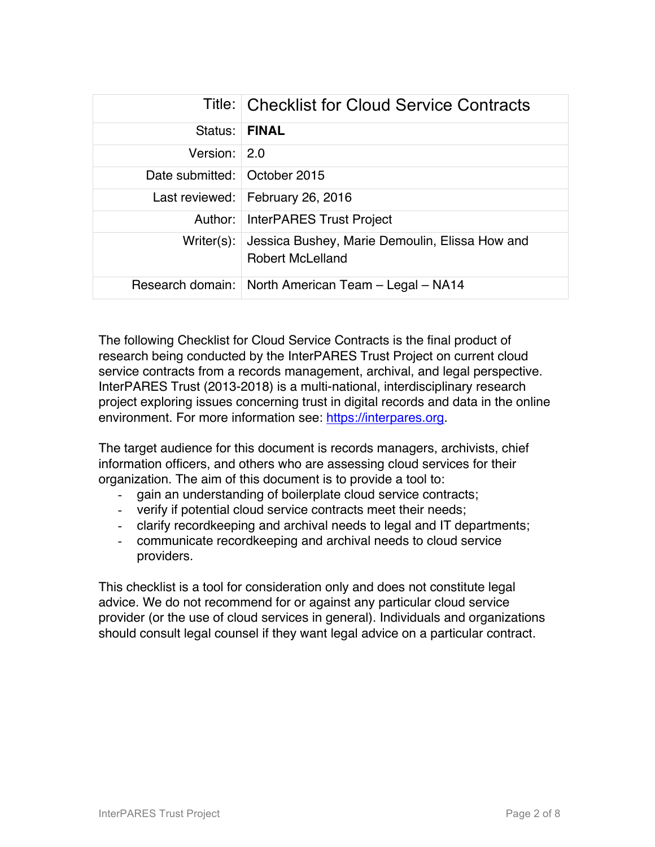|                                | Title: Checklist for Cloud Service Contracts                              |
|--------------------------------|---------------------------------------------------------------------------|
| Status:                        | <b>FINAL</b>                                                              |
| Version: 2.0                   |                                                                           |
| Date submitted:   October 2015 |                                                                           |
|                                | Last reviewed:   February 26, 2016                                        |
| Author:                        | InterPARES Trust Project                                                  |
| Writer $(s)$ :                 | Jessica Bushey, Marie Demoulin, Elissa How and<br><b>Robert McLelland</b> |
|                                | Research domain:   North American Team - Legal - NA14                     |

The following Checklist for Cloud Service Contracts is the final product of research being conducted by the InterPARES Trust Project on current cloud service contracts from a records management, archival, and legal perspective. InterPARES Trust (2013-2018) is a multi-national, interdisciplinary research project exploring issues concerning trust in digital records and data in the online environment. For more information see: https://interpares.org.

The target audience for this document is records managers, archivists, chief information officers, and others who are assessing cloud services for their organization. The aim of this document is to provide a tool to:

- gain an understanding of boilerplate cloud service contracts;
- verify if potential cloud service contracts meet their needs;
- clarify recordkeeping and archival needs to legal and IT departments;
- communicate recordkeeping and archival needs to cloud service providers.

This checklist is a tool for consideration only and does not constitute legal advice. We do not recommend for or against any particular cloud service provider (or the use of cloud services in general). Individuals and organizations should consult legal counsel if they want legal advice on a particular contract.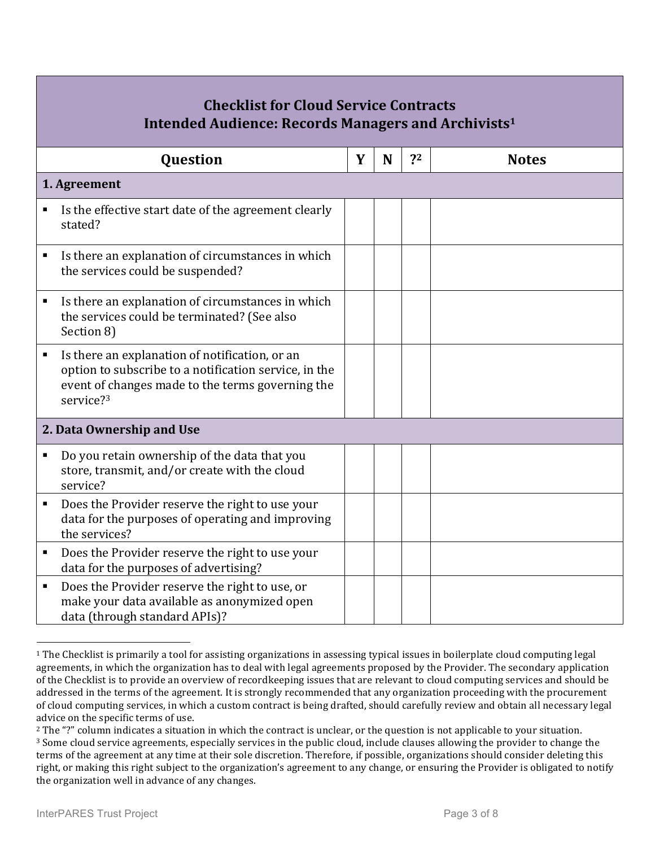| <b>Checklist for Cloud Service Contracts</b><br>Intended Audience: Records Managers and Archivists <sup>1</sup>                                                                                        |   |   |    |              |  |  |  |  |  |
|--------------------------------------------------------------------------------------------------------------------------------------------------------------------------------------------------------|---|---|----|--------------|--|--|--|--|--|
| Question                                                                                                                                                                                               | Y | N | ?2 | <b>Notes</b> |  |  |  |  |  |
| 1. Agreement                                                                                                                                                                                           |   |   |    |              |  |  |  |  |  |
| Is the effective start date of the agreement clearly<br>Е<br>stated?                                                                                                                                   |   |   |    |              |  |  |  |  |  |
| Is there an explanation of circumstances in which<br>п<br>the services could be suspended?                                                                                                             |   |   |    |              |  |  |  |  |  |
| Is there an explanation of circumstances in which<br>п<br>the services could be terminated? (See also<br>Section 8)                                                                                    |   |   |    |              |  |  |  |  |  |
| Is there an explanation of notification, or an<br>$\blacksquare$<br>option to subscribe to a notification service, in the<br>event of changes made to the terms governing the<br>service? <sup>3</sup> |   |   |    |              |  |  |  |  |  |
| 2. Data Ownership and Use                                                                                                                                                                              |   |   |    |              |  |  |  |  |  |
| Do you retain ownership of the data that you<br>$\blacksquare$<br>store, transmit, and/or create with the cloud<br>service?                                                                            |   |   |    |              |  |  |  |  |  |
| Does the Provider reserve the right to use your<br>п<br>data for the purposes of operating and improving<br>the services?                                                                              |   |   |    |              |  |  |  |  |  |
| Does the Provider reserve the right to use your<br>п<br>data for the purposes of advertising?                                                                                                          |   |   |    |              |  |  |  |  |  |
| Does the Provider reserve the right to use, or<br>п<br>make your data available as anonymized open<br>data (through standard APIs)?                                                                    |   |   |    |              |  |  |  |  |  |

1

 $1$  The Checklist is primarily a tool for assisting organizations in assessing typical issues in boilerplate cloud computing legal agreements, in which the organization has to deal with legal agreements proposed by the Provider. The secondary application of the Checklist is to provide an overview of recordkeeping issues that are relevant to cloud computing services and should be addressed in the terms of the agreement. It is strongly recommended that any organization proceeding with the procurement of cloud computing services, in which a custom contract is being drafted, should carefully review and obtain all necessary legal advice on the specific terms of use.

 $2$  The "?" column indicates a situation in which the contract is unclear, or the question is not applicable to your situation. <sup>3</sup> Some cloud service agreements, especially services in the public cloud, include clauses allowing the provider to change the terms of the agreement at any time at their sole discretion. Therefore, if possible, organizations should consider deleting this right, or making this right subject to the organization's agreement to any change, or ensuring the Provider is obligated to notify the organization well in advance of any changes.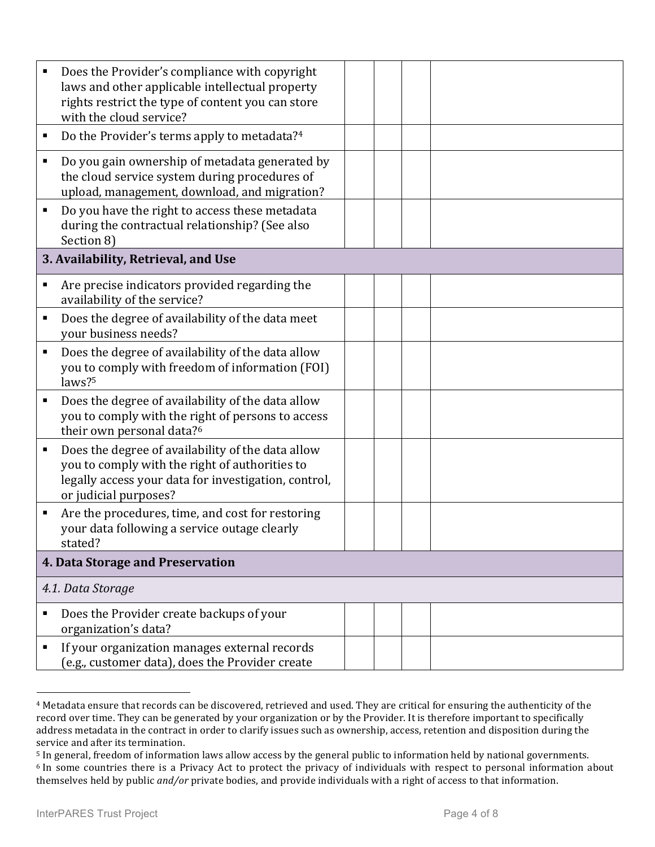|   | Does the Provider's compliance with copyright<br>laws and other applicable intellectual property<br>rights restrict the type of content you can store<br>with the cloud service?     |  |  |  |  |
|---|--------------------------------------------------------------------------------------------------------------------------------------------------------------------------------------|--|--|--|--|
| п | Do the Provider's terms apply to metadata?4                                                                                                                                          |  |  |  |  |
| п | Do you gain ownership of metadata generated by<br>the cloud service system during procedures of<br>upload, management, download, and migration?                                      |  |  |  |  |
| Ξ | Do you have the right to access these metadata<br>during the contractual relationship? (See also<br>Section 8)                                                                       |  |  |  |  |
|   | 3. Availability, Retrieval, and Use                                                                                                                                                  |  |  |  |  |
| п | Are precise indicators provided regarding the<br>availability of the service?                                                                                                        |  |  |  |  |
| п | Does the degree of availability of the data meet<br>your business needs?                                                                                                             |  |  |  |  |
| п | Does the degree of availability of the data allow<br>you to comply with freedom of information (FOI)<br>laws? <sup>5</sup>                                                           |  |  |  |  |
| ٠ | Does the degree of availability of the data allow<br>you to comply with the right of persons to access<br>their own personal data? <sup>6</sup>                                      |  |  |  |  |
| Е | Does the degree of availability of the data allow<br>you to comply with the right of authorities to<br>legally access your data for investigation, control,<br>or judicial purposes? |  |  |  |  |
| п | Are the procedures, time, and cost for restoring<br>your data following a service outage clearly<br>stated?                                                                          |  |  |  |  |
|   | 4. Data Storage and Preservation                                                                                                                                                     |  |  |  |  |
|   | 4.1. Data Storage                                                                                                                                                                    |  |  |  |  |
| п | Does the Provider create backups of your<br>organization's data?                                                                                                                     |  |  |  |  |
| п | If your organization manages external records<br>(e.g., customer data), does the Provider create                                                                                     |  |  |  |  |

<sup>&</sup>lt;sup>4</sup> Metadata ensure that records can be discovered, retrieved and used. They are critical for ensuring the authenticity of the record over time. They can be generated by your organization or by the Provider. It is therefore important to specifically address metadata in the contract in order to clarify issues such as ownership, access, retention and disposition during the service and after its termination.

1

<sup>&</sup>lt;sup>5</sup> In general, freedom of information laws allow access by the general public to information held by national governments.  $6$  In some countries there is a Privacy Act to protect the privacy of individuals with respect to personal information about themselves held by public *and/or* private bodies, and provide individuals with a right of access to that information.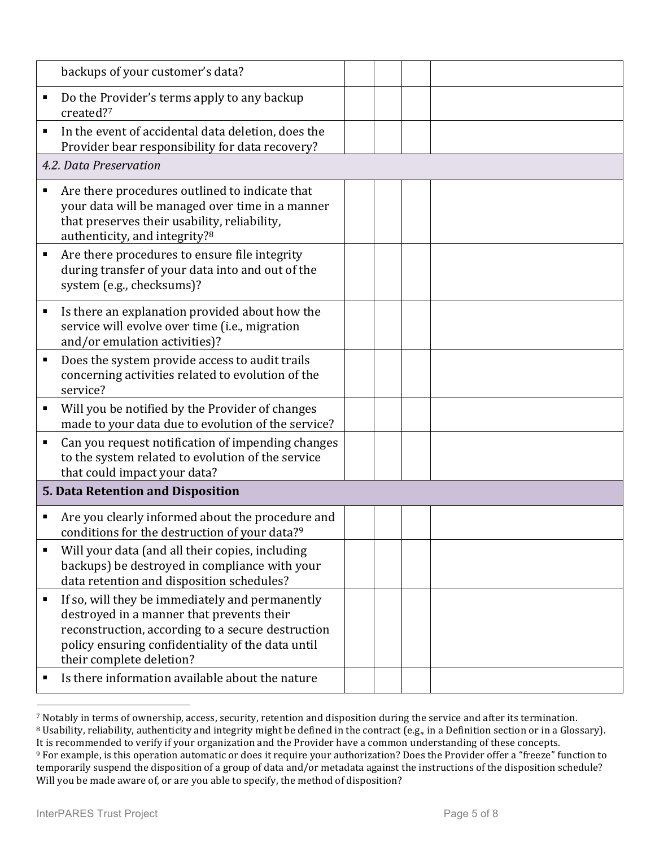|   | backups of your customer's data?                                                                                                                                                                                                   |  |  |
|---|------------------------------------------------------------------------------------------------------------------------------------------------------------------------------------------------------------------------------------|--|--|
| Ξ | Do the Provider's terms apply to any backup<br>created?7                                                                                                                                                                           |  |  |
| ٠ | In the event of accidental data deletion, does the<br>Provider bear responsibility for data recovery?                                                                                                                              |  |  |
|   | 4.2. Data Preservation                                                                                                                                                                                                             |  |  |
| П | Are there procedures outlined to indicate that<br>your data will be managed over time in a manner<br>that preserves their usability, reliability,<br>authenticity, and integrity?8                                                 |  |  |
| Е | Are there procedures to ensure file integrity<br>during transfer of your data into and out of the<br>system (e.g., checksums)?                                                                                                     |  |  |
| п | Is there an explanation provided about how the<br>service will evolve over time (i.e., migration<br>and/or emulation activities)?                                                                                                  |  |  |
| п | Does the system provide access to audit trails<br>concerning activities related to evolution of the<br>service?                                                                                                                    |  |  |
| п | Will you be notified by the Provider of changes<br>made to your data due to evolution of the service?                                                                                                                              |  |  |
| ٠ | Can you request notification of impending changes<br>to the system related to evolution of the service<br>that could impact your data?                                                                                             |  |  |
|   | 5. Data Retention and Disposition                                                                                                                                                                                                  |  |  |
| п | Are you clearly informed about the procedure and<br>conditions for the destruction of your data? <sup>9</sup>                                                                                                                      |  |  |
| П | Will your data (and all their copies, including<br>backups) be destroyed in compliance with your<br>data retention and disposition schedules?                                                                                      |  |  |
| ٠ | If so, will they be immediately and permanently<br>destroyed in a manner that prevents their<br>reconstruction, according to a secure destruction<br>policy ensuring confidentiality of the data until<br>their complete deletion? |  |  |
| п | Is there information available about the nature                                                                                                                                                                                    |  |  |

<sup>7</sup> Notably in terms of ownership, access, security, retention and disposition during the service and after its termination.

<u>.</u>

<sup>&</sup>lt;sup>8</sup> Usability, reliability, authenticity and integrity might be defined in the contract (e.g., in a Definition section or in a Glossary). It is recommended to verify if your organization and the Provider have a common understanding of these concepts.

<sup>&</sup>lt;sup>9</sup> For example, is this operation automatic or does it require your authorization? Does the Provider offer a "freeze" function to temporarily suspend the disposition of a group of data and/or metadata against the instructions of the disposition schedule? Will you be made aware of, or are you able to specify, the method of disposition?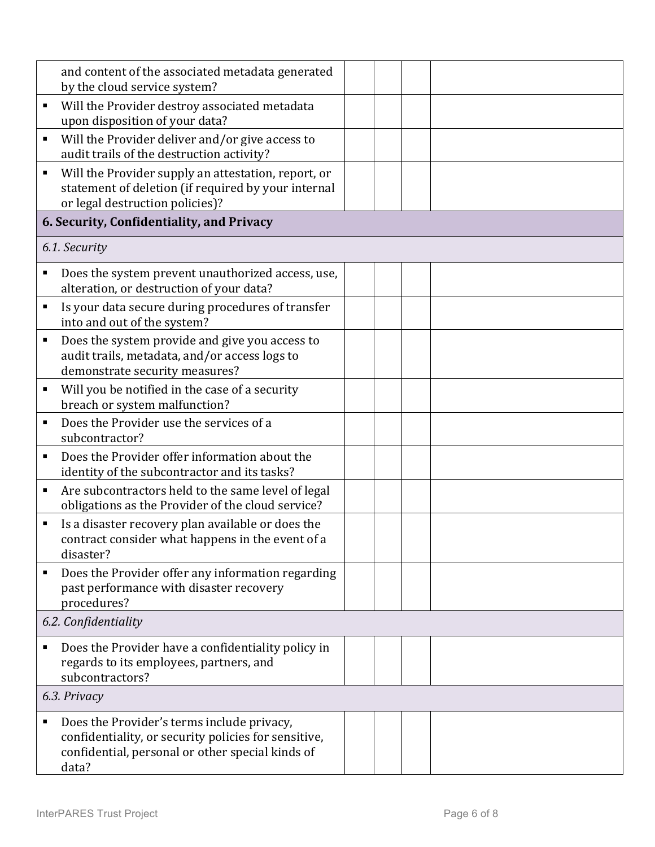|   | and content of the associated metadata generated<br>by the cloud service system?                                                                                |  |  |  |
|---|-----------------------------------------------------------------------------------------------------------------------------------------------------------------|--|--|--|
| Е | Will the Provider destroy associated metadata<br>upon disposition of your data?                                                                                 |  |  |  |
| ٠ | Will the Provider deliver and/or give access to<br>audit trails of the destruction activity?                                                                    |  |  |  |
| Е | Will the Provider supply an attestation, report, or<br>statement of deletion (if required by your internal<br>or legal destruction policies)?                   |  |  |  |
|   | 6. Security, Confidentiality, and Privacy                                                                                                                       |  |  |  |
|   | 6.1. Security                                                                                                                                                   |  |  |  |
| ٠ | Does the system prevent unauthorized access, use,<br>alteration, or destruction of your data?                                                                   |  |  |  |
| п | Is your data secure during procedures of transfer<br>into and out of the system?                                                                                |  |  |  |
| п | Does the system provide and give you access to<br>audit trails, metadata, and/or access logs to<br>demonstrate security measures?                               |  |  |  |
| ٠ | Will you be notified in the case of a security<br>breach or system malfunction?                                                                                 |  |  |  |
| ٠ | Does the Provider use the services of a<br>subcontractor?                                                                                                       |  |  |  |
| ٠ | Does the Provider offer information about the<br>identity of the subcontractor and its tasks?                                                                   |  |  |  |
| Е | Are subcontractors held to the same level of legal<br>obligations as the Provider of the cloud service?                                                         |  |  |  |
| ٠ | Is a disaster recovery plan available or does the<br>contract consider what happens in the event of a<br>disaster?                                              |  |  |  |
| ٠ | Does the Provider offer any information regarding<br>past performance with disaster recovery<br>procedures?                                                     |  |  |  |
|   | 6.2. Confidentiality                                                                                                                                            |  |  |  |
| ٠ | Does the Provider have a confidentiality policy in<br>regards to its employees, partners, and<br>subcontractors?                                                |  |  |  |
|   | 6.3. Privacy                                                                                                                                                    |  |  |  |
| Е | Does the Provider's terms include privacy,<br>confidentiality, or security policies for sensitive,<br>confidential, personal or other special kinds of<br>data? |  |  |  |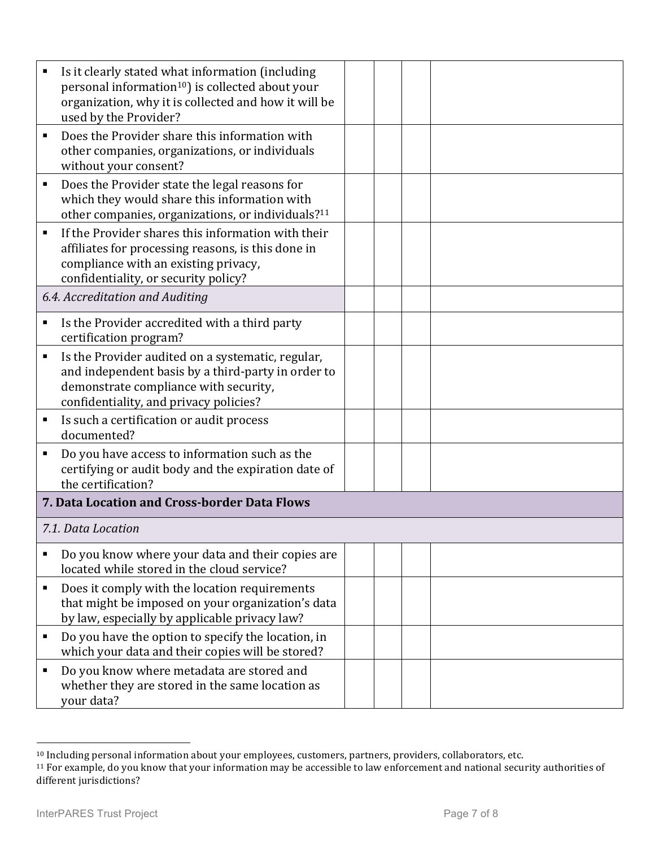|                | Is it clearly stated what information (including<br>personal information <sup>10</sup> ) is collected about your<br>organization, why it is collected and how it will be<br>used by the Provider? |  |  |
|----------------|---------------------------------------------------------------------------------------------------------------------------------------------------------------------------------------------------|--|--|
|                | Does the Provider share this information with<br>other companies, organizations, or individuals<br>without your consent?                                                                          |  |  |
| п              | Does the Provider state the legal reasons for<br>which they would share this information with<br>other companies, organizations, or individuals? <sup>11</sup>                                    |  |  |
| $\blacksquare$ | If the Provider shares this information with their<br>affiliates for processing reasons, is this done in<br>compliance with an existing privacy,<br>confidentiality, or security policy?          |  |  |
|                | 6.4. Accreditation and Auditing                                                                                                                                                                   |  |  |
|                | Is the Provider accredited with a third party<br>certification program?                                                                                                                           |  |  |
| п              | Is the Provider audited on a systematic, regular,<br>and independent basis by a third-party in order to<br>demonstrate compliance with security,<br>confidentiality, and privacy policies?        |  |  |
| п              | Is such a certification or audit process<br>documented?                                                                                                                                           |  |  |
|                | Do you have access to information such as the<br>certifying or audit body and the expiration date of<br>the certification?                                                                        |  |  |
|                | 7. Data Location and Cross-border Data Flows                                                                                                                                                      |  |  |
|                | 7.1. Data Location                                                                                                                                                                                |  |  |
|                | Do you know where your data and their copies are<br>located while stored in the cloud service?                                                                                                    |  |  |
| п              | Does it comply with the location requirements<br>that might be imposed on your organization's data<br>by law, especially by applicable privacy law?                                               |  |  |
|                | Do you have the option to specify the location, in<br>which your data and their copies will be stored?                                                                                            |  |  |
| п              | Do you know where metadata are stored and<br>whether they are stored in the same location as<br>your data?                                                                                        |  |  |

<sup>&</sup>lt;u>.</u>  $10$  Including personal information about your employees, customers, partners, providers, collaborators, etc.

 $11$  For example, do you know that your information may be accessible to law enforcement and national security authorities of different jurisdictions?